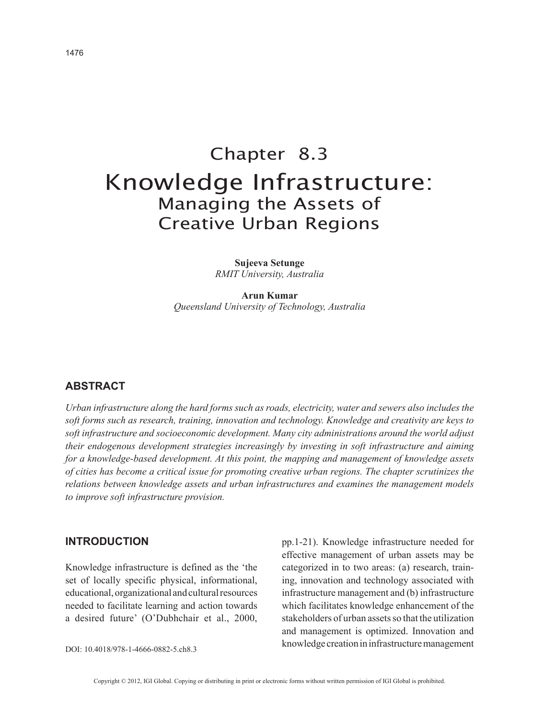# Chapter 8.3 Knowledge Infrastructure: Managing the Assets of Creative Urban Regions

**Sujeeva Setunge** *RMIT University, Australia*

**Arun Kumar** *Queensland University of Technology, Australia*

## **ABSTRACT**

*Urban infrastructure along the hard forms such as roads, electricity, water and sewers also includes the soft forms such as research, training, innovation and technology. Knowledge and creativity are keys to soft infrastructure and socioeconomic development. Many city administrations around the world adjust their endogenous development strategies increasingly by investing in soft infrastructure and aiming for a knowledge-based development. At this point, the mapping and management of knowledge assets of cities has become a critical issue for promoting creative urban regions. The chapter scrutinizes the relations between knowledge assets and urban infrastructures and examines the management models to improve soft infrastructure provision.*

#### **INTRODUCTION**

Knowledge infrastructure is defined as the 'the set of locally specific physical, informational, educational, organizational and cultural resources needed to facilitate learning and action towards a desired future' (O'Dubhchair et al., 2000,

DOI: 10.4018/978-1-4666-0882-5.ch8.3

pp.1-21). Knowledge infrastructure needed for effective management of urban assets may be categorized in to two areas: (a) research, training, innovation and technology associated with infrastructure management and (b) infrastructure which facilitates knowledge enhancement of the stakeholders of urban assets so that the utilization and management is optimized. Innovation and knowledge creation in infrastructure management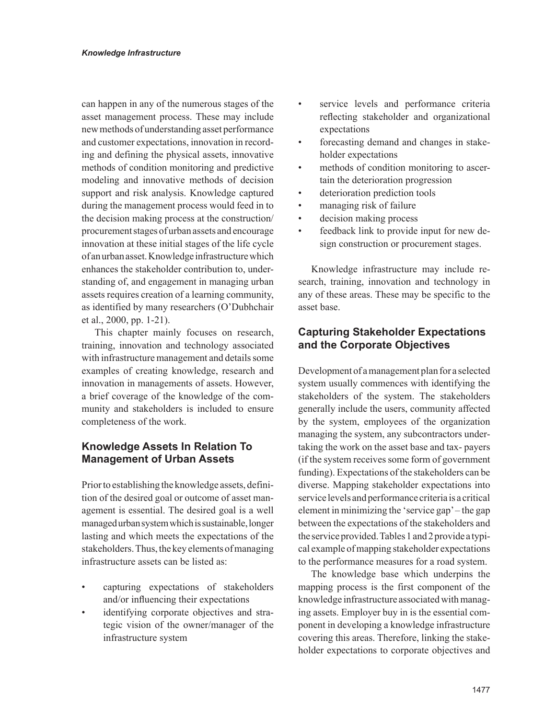can happen in any of the numerous stages of the asset management process. These may include new methods of understanding asset performance and customer expectations, innovation in recording and defining the physical assets, innovative methods of condition monitoring and predictive modeling and innovative methods of decision support and risk analysis. Knowledge captured during the management process would feed in to the decision making process at the construction/ procurement stages of urban assets and encourage innovation at these initial stages of the life cycle of an urban asset. Knowledge infrastructure which enhances the stakeholder contribution to, understanding of, and engagement in managing urban assets requires creation of a learning community, as identified by many researchers (O'Dubhchair et al., 2000, pp. 1-21).

This chapter mainly focuses on research, training, innovation and technology associated with infrastructure management and details some examples of creating knowledge, research and innovation in managements of assets. However, a brief coverage of the knowledge of the community and stakeholders is included to ensure completeness of the work.

# **Knowledge Assets In Relation To Management of Urban Assets**

Prior to establishing the knowledge assets, definition of the desired goal or outcome of asset management is essential. The desired goal is a well managed urban system which is sustainable, longer lasting and which meets the expectations of the stakeholders. Thus, the key elements of managing infrastructure assets can be listed as:

- capturing expectations of stakeholders and/or influencing their expectations
- identifying corporate objectives and strategic vision of the owner/manager of the infrastructure system
- service levels and performance criteria reflecting stakeholder and organizational expectations
- forecasting demand and changes in stakeholder expectations
- methods of condition monitoring to ascertain the deterioration progression
- deterioration prediction tools
- managing risk of failure
- decision making process
- feedback link to provide input for new design construction or procurement stages.

Knowledge infrastructure may include research, training, innovation and technology in any of these areas. These may be specific to the asset base.

# **Capturing Stakeholder Expectations and the Corporate Objectives**

Development of a management plan for a selected system usually commences with identifying the stakeholders of the system. The stakeholders generally include the users, community affected by the system, employees of the organization managing the system, any subcontractors undertaking the work on the asset base and tax- payers (if the system receives some form of government funding). Expectations of the stakeholders can be diverse. Mapping stakeholder expectations into service levels and performance criteria is a critical element in minimizing the 'service gap' – the gap between the expectations of the stakeholders and the service provided. Tables 1 and 2 provide a typical example of mapping stakeholder expectations to the performance measures for a road system.

The knowledge base which underpins the mapping process is the first component of the knowledge infrastructure associated with managing assets. Employer buy in is the essential component in developing a knowledge infrastructure covering this areas. Therefore, linking the stakeholder expectations to corporate objectives and